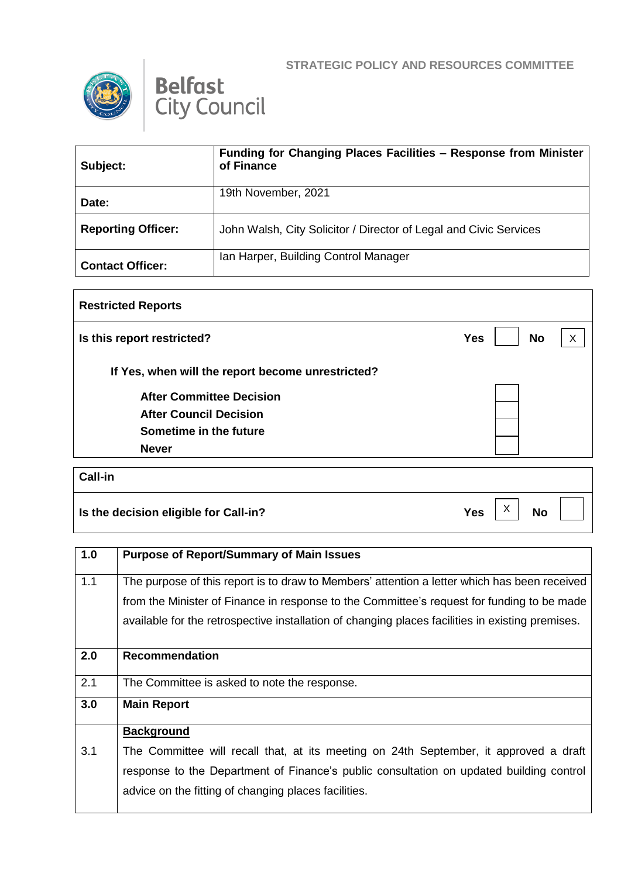





| Subject:                  | Funding for Changing Places Facilities - Response from Minister<br>of Finance |
|---------------------------|-------------------------------------------------------------------------------|
| Date:                     | 19th November, 2021                                                           |
| <b>Reporting Officer:</b> | John Walsh, City Solicitor / Director of Legal and Civic Services             |
| <b>Contact Officer:</b>   | Ian Harper, Building Control Manager                                          |

| <b>Restricted Reports</b>                         |                              |
|---------------------------------------------------|------------------------------|
| Is this report restricted?                        | <b>Yes</b><br><b>No</b><br>X |
| If Yes, when will the report become unrestricted? |                              |
| <b>After Committee Decision</b>                   |                              |
| <b>After Council Decision</b>                     |                              |
| Sometime in the future                            |                              |
| <b>Never</b>                                      |                              |
| <b>Call-in</b>                                    |                              |
| Is the decision eligible for Call-in?             | X<br><b>No</b><br><b>Yes</b> |

| 1.0 | <b>Purpose of Report/Summary of Main Issues</b>                                                                                                                                                                                                                                                |
|-----|------------------------------------------------------------------------------------------------------------------------------------------------------------------------------------------------------------------------------------------------------------------------------------------------|
| 1.1 | The purpose of this report is to draw to Members' attention a letter which has been received<br>from the Minister of Finance in response to the Committee's request for funding to be made<br>available for the retrospective installation of changing places facilities in existing premises. |
| 2.0 | Recommendation                                                                                                                                                                                                                                                                                 |
| 2.1 | The Committee is asked to note the response.                                                                                                                                                                                                                                                   |
| 3.0 | <b>Main Report</b>                                                                                                                                                                                                                                                                             |
|     | <b>Background</b>                                                                                                                                                                                                                                                                              |
| 3.1 | The Committee will recall that, at its meeting on 24th September, it approved a draft                                                                                                                                                                                                          |
|     | response to the Department of Finance's public consultation on updated building control                                                                                                                                                                                                        |
|     | advice on the fitting of changing places facilities.                                                                                                                                                                                                                                           |
|     |                                                                                                                                                                                                                                                                                                |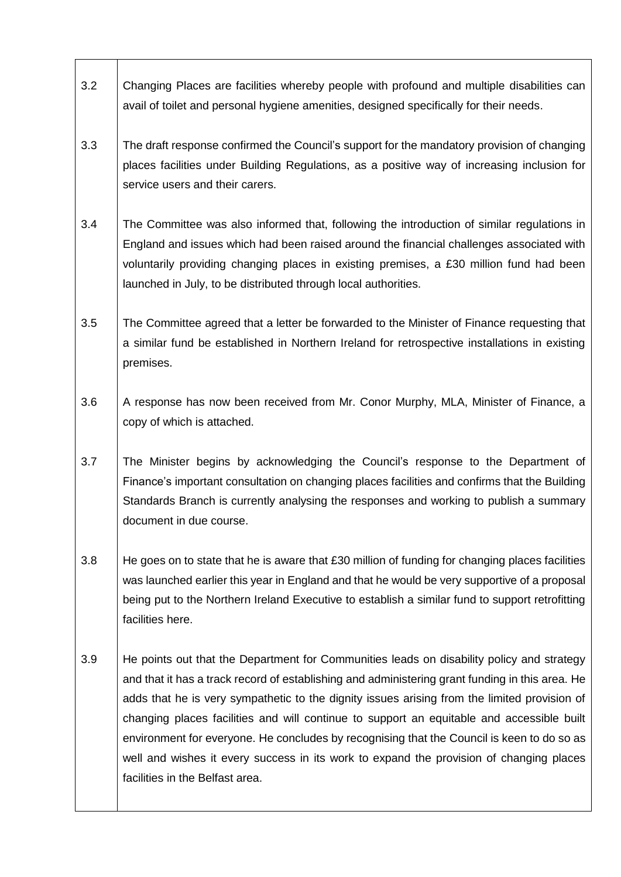- 3.2 Changing Places are facilities whereby people with profound and multiple disabilities can avail of toilet and personal hygiene amenities, designed specifically for their needs.
- 3.3 The draft response confirmed the Council's support for the mandatory provision of changing places facilities under Building Regulations, as a positive way of increasing inclusion for service users and their carers.
- 3.4 The Committee was also informed that, following the introduction of similar regulations in England and issues which had been raised around the financial challenges associated with voluntarily providing changing places in existing premises, a £30 million fund had been launched in July, to be distributed through local authorities.
- 3.5 The Committee agreed that a letter be forwarded to the Minister of Finance requesting that a similar fund be established in Northern Ireland for retrospective installations in existing premises.
- 3.6 A response has now been received from Mr. Conor Murphy, MLA, Minister of Finance, a copy of which is attached.
- 3.7 The Minister begins by acknowledging the Council's response to the Department of Finance's important consultation on changing places facilities and confirms that the Building Standards Branch is currently analysing the responses and working to publish a summary document in due course.
- 3.8 He goes on to state that he is aware that £30 million of funding for changing places facilities was launched earlier this year in England and that he would be very supportive of a proposal being put to the Northern Ireland Executive to establish a similar fund to support retrofitting facilities here.
- 3.9 He points out that the Department for Communities leads on disability policy and strategy and that it has a track record of establishing and administering grant funding in this area. He adds that he is very sympathetic to the dignity issues arising from the limited provision of changing places facilities and will continue to support an equitable and accessible built environment for everyone. He concludes by recognising that the Council is keen to do so as well and wishes it every success in its work to expand the provision of changing places facilities in the Belfast area.